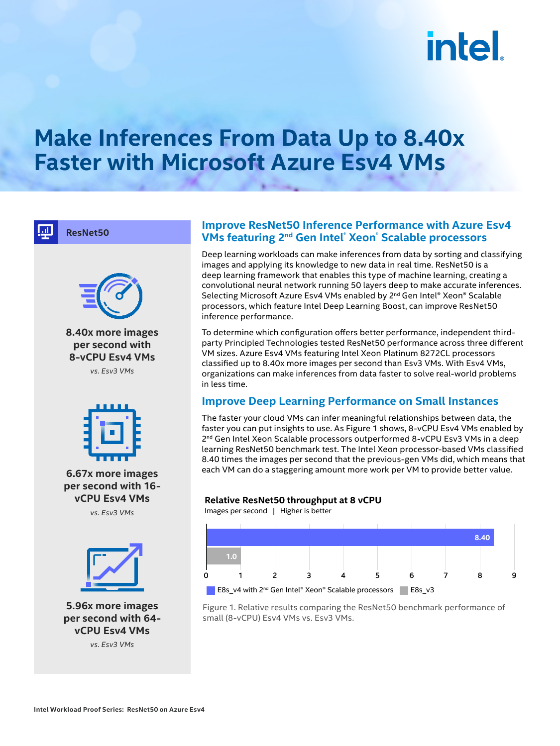# **intel**

### **Make Inferences From Data Up to 8.40x Faster with Microsoft Azure Esv4 VMs**

**ResNet50**



**8.40x more images per second with 8-vCPU Esv4 VMs** *vs. Esv3 VMs* 



**6.67x more images per second with 16 vCPU Esv4 VMs** *vs. Esv3 VMs* 



**5.96x more images per second with 64 vCPU Esv4 VMs**

*vs. Esv3 VMs*

#### **Improve ResNet50 Inference Performance with Azure Esv4 VMs featuring 2nd Gen Intel® Xeon® Scalable processors**

Deep learning workloads can make inferences from data by sorting and classifying images and applying its knowledge to new data in real time. ResNet50 is a deep learning framework that enables this type of machine learning, creating a convolutional neural network running 50 layers deep to make accurate inferences. Selecting Microsoft Azure Esv4 VMs enabled by 2<sup>nd</sup> Gen Intel® Xeon® Scalable processors, which feature Intel Deep Learning Boost, can improve ResNet50 inference performance.

To determine which configuration offers better performance, independent thirdparty Principled Technologies tested ResNet50 performance across three different VM sizes. Azure Esv4 VMs featuring Intel Xeon Platinum 8272CL processors classified up to 8.40x more images per second than Esv3 VMs. With Esv4 VMs, organizations can make inferences from data faster to solve real-world problems in less time.

#### **Improve Deep Learning Performance on Small Instances**

The faster your cloud VMs can infer meaningful relationships between data, the faster you can put insights to use. As Figure 1 shows, 8-vCPU Esv4 VMs enabled by 2<sup>nd</sup> Gen Intel Xeon Scalable processors outperformed 8-vCPU Esv3 VMs in a deep learning ResNet50 benchmark test. The Intel Xeon processor-based VMs classified 8.40 times the images per second that the previous-gen VMs did, which means that each VM can do a staggering amount more work per VM to provide better value.

#### **Relative ResNet50 throughput at 8 vCPU**

Images per second | Higher is better



Figure 1. Relative results comparing the ResNet50 benchmark performance of small (8-vCPU) Esv4 VMs vs. Esv3 VMs.